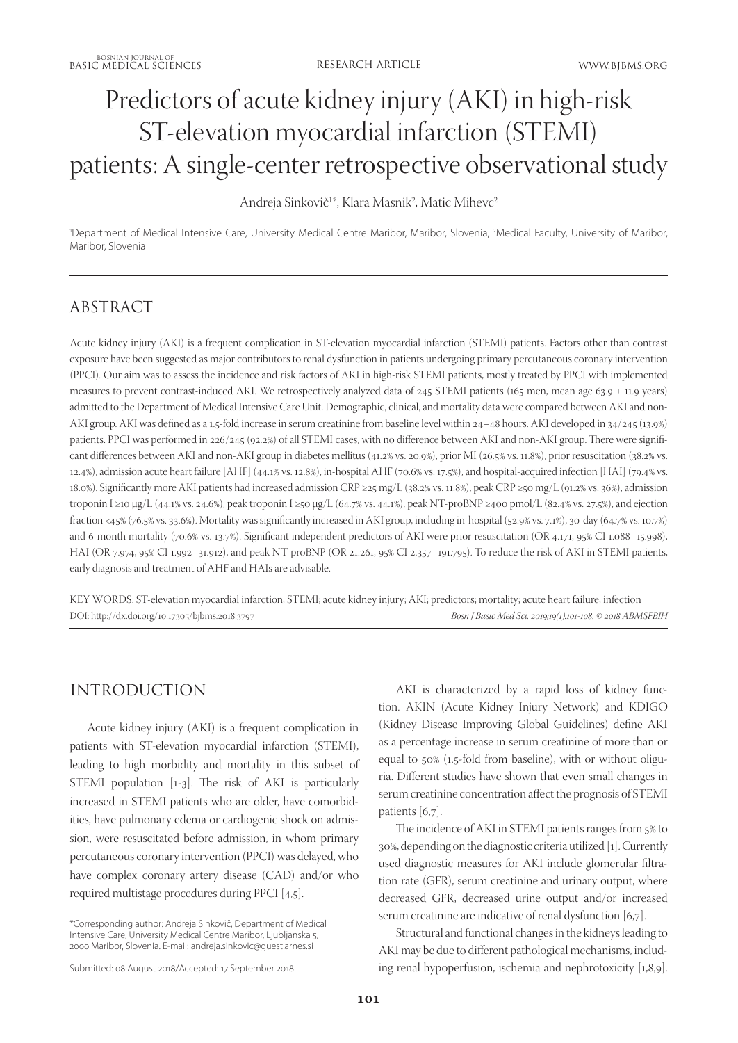# Predictors of acute kidney injury (AKI) in high-risk ST-elevation myocardial infarction (STEMI) patients: A single-center retrospective observational study

Andreja Sinkovič<sup>1</sup>\*, Klara Masnik<sup>2</sup>, Matic Mihevc<sup>2</sup>

'Department of Medical Intensive Care, University Medical Centre Maribor, Maribor, Slovenia, <sup>2</sup>Medical Faculty, University of Maribor, Maribor, Slovenia

# ABSTRACT

Acute kidney injury (AKI) is a frequent complication in ST-elevation myocardial infarction (STEMI) patients. Factors other than contrast exposure have been suggested as major contributors to renal dysfunction in patients undergoing primary percutaneous coronary intervention (PPCI). Our aim was to assess the incidence and risk factors of AKI in high-risk STEMI patients, mostly treated by PPCI with implemented measures to prevent contrast-induced AKI. We retrospectively analyzed data of 245 STEMI patients (165 men, mean age 63.9 ± 11.9 years) admitted to the Department of Medical Intensive Care Unit. Demographic, clinical, and mortality data were compared between AKI and non-AKI group. AKI was defined as a 1.5-fold increase in serum creatinine from baseline level within 24–48 hours. AKI developed in 34/245 (13.9%) patients. PPCI was performed in 226/245 (92.2%) of all STEMI cases, with no difference between AKI and non-AKI group. There were significant differences between AKI and non-AKI group in diabetes mellitus (41.2% vs. 20.9%), prior MI (26.5% vs. 11.8%), prior resuscitation (38.2% vs. 12.4%), admission acute heart failure [AHF] (44.1% vs. 12.8%), in-hospital AHF (70.6% vs. 17.5%), and hospital-acquired infection [HAI] (79.4% vs. 18.0%). Significantly more AKI patients had increased admission CRP ≥25 mg/L (38.2% vs. 11.8%), peak CRP ≥50 mg/L (91.2% vs. 36%), admission troponin I ≥10 µg/L (44.1% vs. 24.6%), peak troponin I ≥50 µg/L (64.7% vs. 44.1%), peak NT-proBNP ≥400 pmol/L (82.4% vs. 27.5%), and ejection fraction <45% (76.5% vs. 33.6%). Mortality was significantly increased in AKI group, including in-hospital (52.9% vs. 7.1%), 30-day (64.7% vs. 10.7%) and 6-month mortality (70.6% vs. 13.7%). Significant independent predictors of AKI were prior resuscitation (OR 4.171, 95% CI 1.088–15.998), HAI (OR 7.974, 95% CI 1.992–31.912), and peak NT-proBNP (OR 21.261, 95% CI 2.357–191.795). To reduce the risk of AKI in STEMI patients, early diagnosis and treatment of AHF and HAIs are advisable.

KEY WORDS: ST-elevation myocardial infarction; STEMI; acute kidney injury; AKI; predictors; mortality; acute heart failure; infection DOI: http://dx.doi.org/10.17305/bjbms.2018.3797 *Bosn J Basic Med Sci. 2019;19(1):101-108. © 2018 ABMSFBIH*

# INTRODUCTION

Acute kidney injury (AKI) is a frequent complication in patients with ST-elevation myocardial infarction (STEMI), leading to high morbidity and mortality in this subset of STEMI population [1-3]. The risk of AKI is particularly increased in STEMI patients who are older, have comorbidities, have pulmonary edema or cardiogenic shock on admission, were resuscitated before admission, in whom primary percutaneous coronary intervention (PPCI) was delayed, who have complex coronary artery disease (CAD) and/or who required multistage procedures during PPCI [4,5].

AKI is characterized by a rapid loss of kidney function. AKIN (Acute Kidney Injury Network) and KDIGO (Kidney Disease Improving Global Guidelines) define AKI as a percentage increase in serum creatinine of more than or equal to 50% (1.5-fold from baseline), with or without oliguria. Different studies have shown that even small changes in serum creatinine concentration affect the prognosis of STEMI patients [6,7].

The incidence of AKI in STEMI patients ranges from 5% to 30%, depending on the diagnostic criteria utilized [1]. Currently used diagnostic measures for AKI include glomerular filtration rate (GFR), serum creatinine and urinary output, where decreased GFR, decreased urine output and/or increased serum creatinine are indicative of renal dysfunction [6,7].

Structural and functional changes in the kidneys leading to AKI may be due to different pathological mechanisms, including renal hypoperfusion, ischemia and nephrotoxicity [1,8,9].

<sup>\*</sup>Corresponding author: Andreja Sinkovič, Department of Medical Intensive Care, University Medical Centre Maribor, Ljubljanska 5, 2000 Maribor, Slovenia. E-mail: andreja.sinkovic@guest.arnes.si

Submitted: 08 August 2018/Accepted: 17 September 2018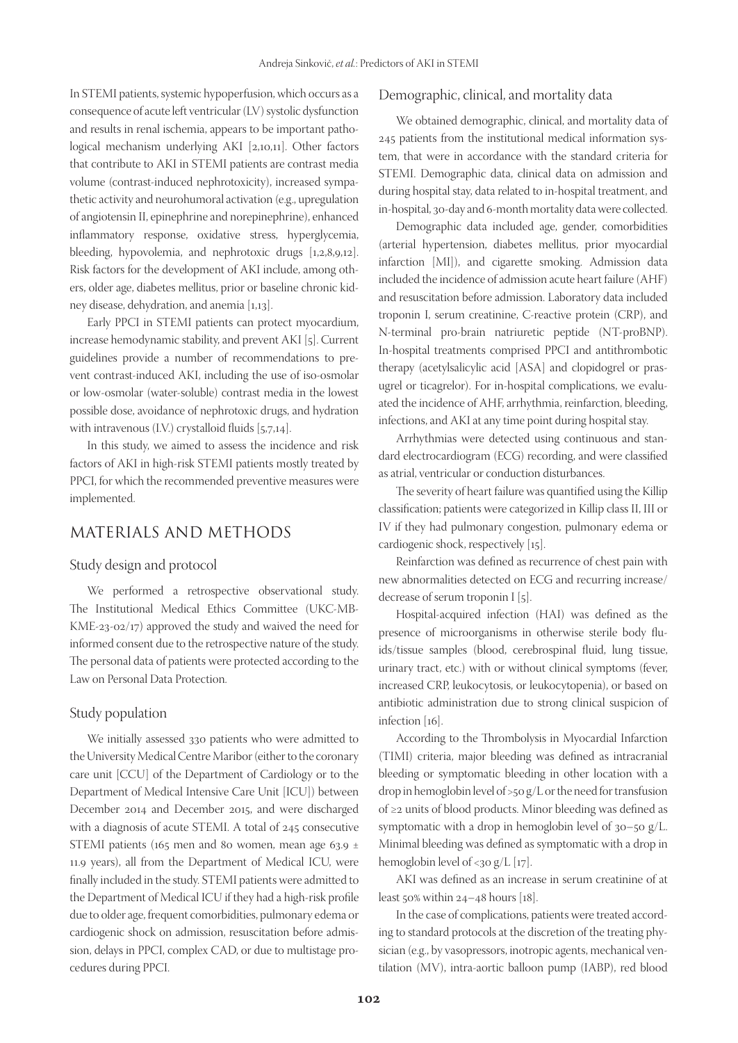In STEMI patients, systemic hypoperfusion, which occurs as a consequence of acute left ventricular (LV) systolic dysfunction and results in renal ischemia, appears to be important pathological mechanism underlying AKI [2,10,11]. Other factors that contribute to AKI in STEMI patients are contrast media volume (contrast-induced nephrotoxicity), increased sympathetic activity and neurohumoral activation (e.g., upregulation of angiotensin II, epinephrine and norepinephrine), enhanced inflammatory response, oxidative stress, hyperglycemia, bleeding, hypovolemia, and nephrotoxic drugs [1,2,8,9,12]. Risk factors for the development of AKI include, among others, older age, diabetes mellitus, prior or baseline chronic kidney disease, dehydration, and anemia [1,13].

Early PPCI in STEMI patients can protect myocardium, increase hemodynamic stability, and prevent AKI [5]. Current guidelines provide a number of recommendations to prevent contrast-induced AKI, including the use of iso-osmolar or low-osmolar (water-soluble) contrast media in the lowest possible dose, avoidance of nephrotoxic drugs, and hydration with intravenous (I.V.) crystalloid fluids [5,7,14].

In this study, we aimed to assess the incidence and risk factors of AKI in high-risk STEMI patients mostly treated by PPCI, for which the recommended preventive measures were implemented.

# MATERIALS AND METHODS

#### Study design and protocol

We performed a retrospective observational study. The Institutional Medical Ethics Committee (UKC-MB-KME-23-02/17) approved the study and waived the need for informed consent due to the retrospective nature of the study. The personal data of patients were protected according to the Law on Personal Data Protection.

#### Study population

We initially assessed 330 patients who were admitted to the University Medical Centre Maribor (either to the coronary care unit [CCU] of the Department of Cardiology or to the Department of Medical Intensive Care Unit [ICU]) between December 2014 and December 2015, and were discharged with a diagnosis of acute STEMI. A total of 245 consecutive STEMI patients (165 men and 80 women, mean age 63.9  $\pm$ 11.9 years), all from the Department of Medical ICU, were finally included in the study. STEMI patients were admitted to the Department of Medical ICU if they had a high-risk profile due to older age, frequent comorbidities, pulmonary edema or cardiogenic shock on admission, resuscitation before admission, delays in PPCI, complex CAD, or due to multistage procedures during PPCI.

#### Demographic, clinical, and mortality data

We obtained demographic, clinical, and mortality data of 245 patients from the institutional medical information system, that were in accordance with the standard criteria for STEMI. Demographic data, clinical data on admission and during hospital stay, data related to in-hospital treatment, and in-hospital, 30-day and 6-month mortality data were collected.

Demographic data included age, gender, comorbidities (arterial hypertension, diabetes mellitus, prior myocardial infarction [MI]), and cigarette smoking. Admission data included the incidence of admission acute heart failure (AHF) and resuscitation before admission. Laboratory data included troponin I, serum creatinine, C-reactive protein (CRP), and N-terminal pro-brain natriuretic peptide (NT-proBNP). In-hospital treatments comprised PPCI and antithrombotic therapy (acetylsalicylic acid [ASA] and clopidogrel or prasugrel or ticagrelor). For in-hospital complications, we evaluated the incidence of AHF, arrhythmia, reinfarction, bleeding, infections, and AKI at any time point during hospital stay.

Arrhythmias were detected using continuous and standard electrocardiogram (ECG) recording, and were classified as atrial, ventricular or conduction disturbances.

The severity of heart failure was quantified using the Killip classification; patients were categorized in Killip class II, III or IV if they had pulmonary congestion, pulmonary edema or cardiogenic shock, respectively [15].

Reinfarction was defined as recurrence of chest pain with new abnormalities detected on ECG and recurring increase/ decrease of serum troponin I [5].

Hospital-acquired infection (HAI) was defined as the presence of microorganisms in otherwise sterile body fluids/tissue samples (blood, cerebrospinal fluid, lung tissue, urinary tract, etc.) with or without clinical symptoms (fever, increased CRP, leukocytosis, or leukocytopenia), or based on antibiotic administration due to strong clinical suspicion of infection [16].

According to the Thrombolysis in Myocardial Infarction (TIMI) criteria, major bleeding was defined as intracranial bleeding or symptomatic bleeding in other location with a drop in hemoglobin level of >50 g/L or the need for transfusion of ≥2 units of blood products. Minor bleeding was defined as symptomatic with a drop in hemoglobin level of 30–50 g/L. Minimal bleeding was defined as symptomatic with a drop in hemoglobin level of <30 g/L [17].

AKI was defined as an increase in serum creatinine of at least  $50\%$  within  $24-48$  hours [18].

In the case of complications, patients were treated according to standard protocols at the discretion of the treating physician (e.g., by vasopressors, inotropic agents, mechanical ventilation (MV), intra-aortic balloon pump (IABP), red blood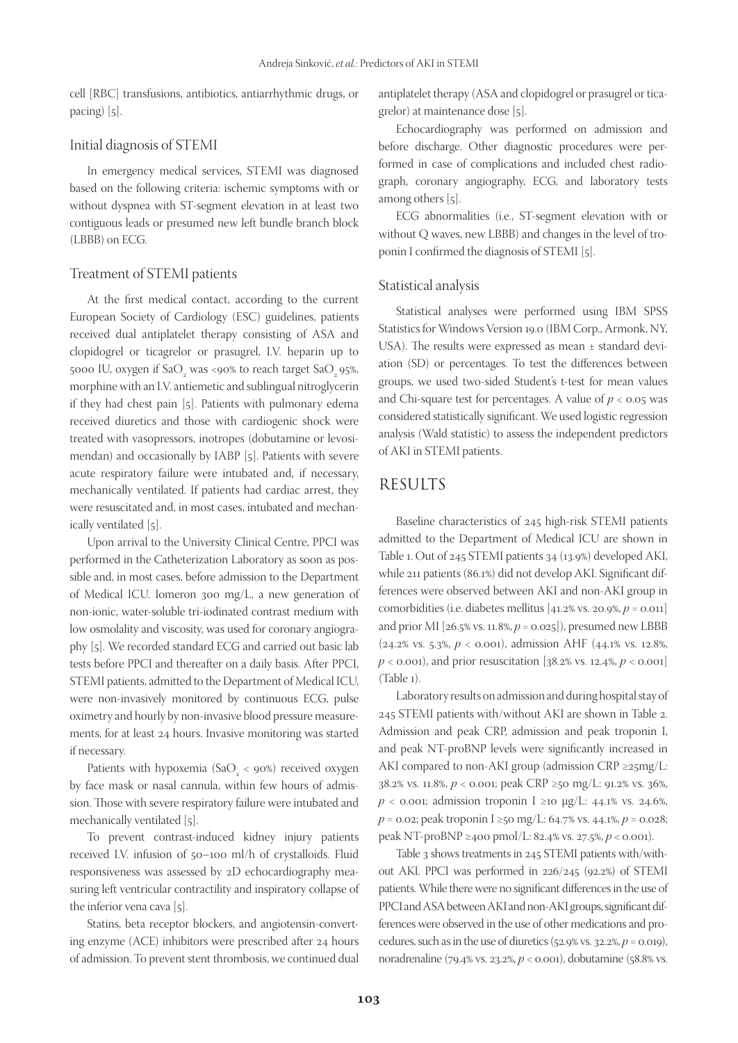cell [RBC] transfusions, antibiotics, antiarrhythmic drugs, or pacing) [5].

#### Initial diagnosis of STEMI

In emergency medical services, STEMI was diagnosed based on the following criteria: ischemic symptoms with or without dyspnea with ST-segment elevation in at least two contiguous leads or presumed new left bundle branch block (LBBB) on ECG.

#### Treatment of STEMI patients

At the first medical contact, according to the current European Society of Cardiology (ESC) guidelines, patients received dual antiplatelet therapy consisting of ASA and clopidogrel or ticagrelor or prasugrel, I.V. heparin up to 5000 IU, oxygen if Sa $O_{2}$  was <90% to reach target Sa $O_{2}$ 95%, morphine with an I.V. antiemetic and sublingual nitroglycerin if they had chest pain [5]. Patients with pulmonary edema received diuretics and those with cardiogenic shock were treated with vasopressors, inotropes (dobutamine or levosimendan) and occasionally by IABP [5]. Patients with severe acute respiratory failure were intubated and, if necessary, mechanically ventilated. If patients had cardiac arrest, they were resuscitated and, in most cases, intubated and mechanically ventilated [5].

Upon arrival to the University Clinical Centre, PPCI was performed in the Catheterization Laboratory as soon as possible and, in most cases, before admission to the Department of Medical ICU. Iomeron 300 mg/L, a new generation of non-ionic, water-soluble tri-iodinated contrast medium with low osmolality and viscosity, was used for coronary angiography [5]. We recorded standard ECG and carried out basic lab tests before PPCI and thereafter on a daily basis. After PPCI, STEMI patients, admitted to the Department of Medical ICU, were non-invasively monitored by continuous ECG, pulse oximetry and hourly by non-invasive blood pressure measurements, for at least 24 hours. Invasive monitoring was started if necessary.

Patients with hypoxemia (Sa $O_2 <$  90%) received oxygen by face mask or nasal cannula, within few hours of admission. Those with severe respiratory failure were intubated and mechanically ventilated [5].

To prevent contrast-induced kidney injury patients received I.V. infusion of 50–100 ml/h of crystalloids. Fluid responsiveness was assessed by 2D echocardiography measuring left ventricular contractility and inspiratory collapse of the inferior vena cava [5].

Statins, beta receptor blockers, and angiotensin-converting enzyme (ACE) inhibitors were prescribed after 24 hours of admission. To prevent stent thrombosis, we continued dual antiplatelet therapy (ASA and clopidogrel or prasugrel or ticagrelor) at maintenance dose [5].

Echocardiography was performed on admission and before discharge. Other diagnostic procedures were performed in case of complications and included chest radiograph, coronary angiography, ECG, and laboratory tests among others [5].

ECG abnormalities (i.e., ST-segment elevation with or without Q waves, new LBBB) and changes in the level of troponin I confirmed the diagnosis of STEMI [5].

#### Statistical analysis

Statistical analyses were performed using IBM SPSS Statistics for Windows Version 19.0 (IBM Corp., Armonk, NY, USA). The results were expressed as mean ± standard deviation (SD) or percentages. To test the differences between groups, we used two-sided Student's t-test for mean values and Chi-square test for percentages. A value of  $p < 0.05$  was considered statistically significant. We used logistic regression analysis (Wald statistic) to assess the independent predictors of AKI in STEMI patients.

# RESULTS

Baseline characteristics of 245 high-risk STEMI patients admitted to the Department of Medical ICU are shown in Table 1. Out of 245 STEMI patients 34 (13.9%) developed AKI, while 211 patients (86.1%) did not develop AKI. Significant differences were observed between AKI and non-AKI group in comorbidities (i.e. diabetes mellitus [41.2% vs. 20.9%, *p* = 0.011] and prior MI [26.5% vs. 11.8%, *p* = 0.025]), presumed new LBBB (24.2% vs. 5.3%, *p* < 0.001), admission AHF (44.1% vs. 12.8%,  $p <$  0.001), and prior resuscitation [38.2% vs. 12.4%,  $p <$  0.001] (Table 1).

Laboratory results on admission and during hospital stay of 245 STEMI patients with/without AKI are shown in Table 2. Admission and peak CRP, admission and peak troponin I, and peak NT-proBNP levels were significantly increased in AKI compared to non-AKI group (admission CRP ≥25mg/L: 38.2% vs. 11.8%, *p* < 0.001; peak CRP ≥50 mg/L: 91.2% vs. 36%,  $p$  < 0.001; admission troponin I ≥10 µg/L: 44.1% vs. 24.6%, *p* = 0.02; peak troponin I ≥50 mg/L: 64.7% vs. 44.1%, *p* = 0.028; peak NT-proBNP ≥400 pmol/L: 82.4% vs. 27.5%, *p* < 0.001).

Table 3 shows treatments in 245 STEMI patients with/without AKI. PPCI was performed in 226/245 (92.2%) of STEMI patients. While there were no significant differences in the use of PPCI and ASA between AKI and non-AKI groups, significant differences were observed in the use of other medications and procedures, such as in the use of diuretics  $(52.9\% \text{ vs. } 32.2\%, p = 0.019)$ , noradrenaline (79.4% vs. 23.2%, *p* < 0.001), dobutamine (58.8% vs.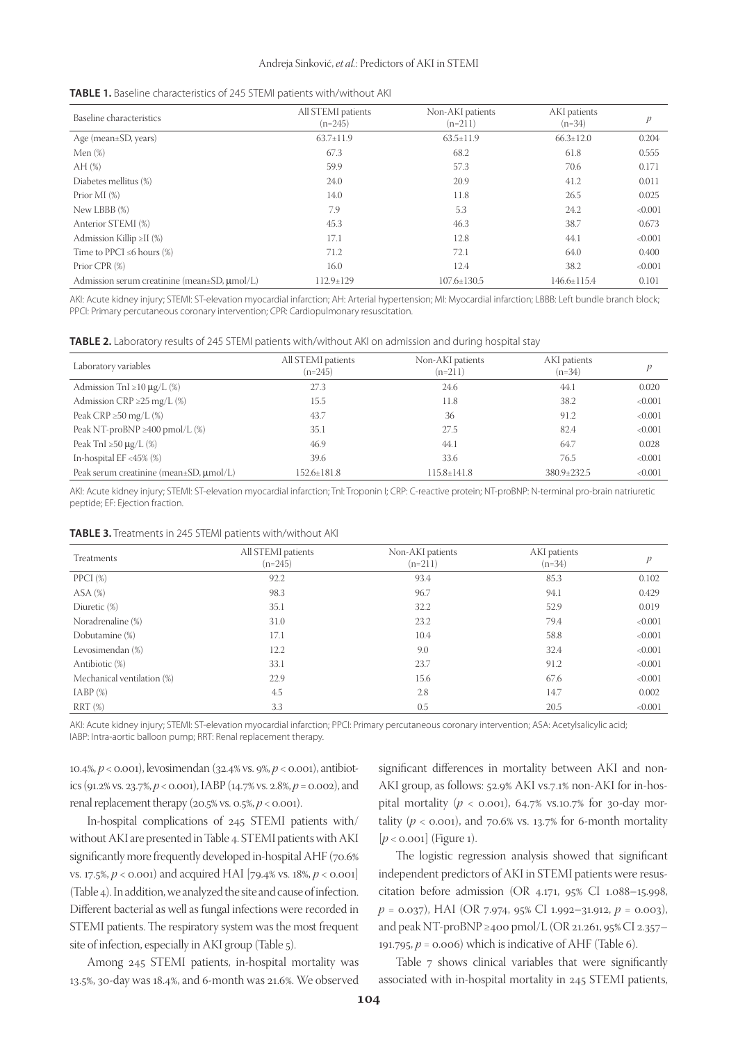| Baseline characteristics                                | All STEMI patients<br>$(n=245)$ | Non-AKI patients<br>$(n=211)$ | AKI patients<br>$(n=34)$ | p       |
|---------------------------------------------------------|---------------------------------|-------------------------------|--------------------------|---------|
| Age (mean $\pm$ SD, years)                              | $63.7 \pm 11.9$                 | $63.5 \pm 11.9$               | $66.3 \pm 12.0$          | 0.204   |
| Men $(\%)$                                              | 67.3                            | 68.2                          | 61.8                     | 0.555   |
| AH(%)                                                   | 59.9                            | 57.3                          | 70.6                     | 0.171   |
| Diabetes mellitus (%)                                   | 24.0                            | 20.9                          | 41.2                     | 0.011   |
| Prior MI $(\%)$                                         | 14.0                            | 11.8                          | 26.5                     | 0.025   |
| New LBBB (%)                                            | 7.9                             | 5.3                           | 24.2                     | < 0.001 |
| Anterior STEMI (%)                                      | 45.3                            | 46.3                          | 38.7                     | 0.673   |
| Admission Killip $\geq$ II (%)                          | 17.1                            | 12.8                          | 44.1                     | < 0.001 |
| Time to PPCI $\leq 6$ hours (%)                         | 71.2                            | 72.1                          | 64.0                     | 0.400   |
| Prior CPR (%)                                           | 16.0                            | 12.4                          | 38.2                     | < 0.001 |
| Admission serum creatinine (mean $\pm$ SD, $\mu$ mol/L) | $112.9 \pm 129$                 | $107.6 \pm 130.5$             | 146.6±115.4              | 0.101   |

AKI: Acute kidney injury; STEMI: ST-elevation myocardial infarction; AH: Arterial hypertension; MI: Myocardial infarction; LBBB: Left bundle branch block; PPCI: Primary percutaneous coronary intervention; CPR: Cardiopulmonary resuscitation.

| <b>TABLE 2.</b> Laboratory results of 245 STEMI patients with/without AKI on admission and during hospital stay |  |  |
|-----------------------------------------------------------------------------------------------------------------|--|--|
|                                                                                                                 |  |  |

| Laboratory variables                               | All STEMI patients<br>$(n=245)$ | Non-AKI patients<br>$(n=211)$ | AKI patients<br>$(n=34)$ |         |
|----------------------------------------------------|---------------------------------|-------------------------------|--------------------------|---------|
| Admission TnI $\geq$ 10 µg/L (%)                   | 27.3                            | 24.6                          | 44.1                     | 0.020   |
| Admission CRP $\geq$ 25 mg/L (%)                   | 15.5                            | 11.8                          | 38.2                     | < 0.001 |
| Peak CRP $\geq$ 50 mg/L (%)                        | 43.7                            | 36                            | 91.2                     | <0.001  |
| Peak NT-proBNP $\geq$ 400 pmol/L (%)               | 35.1                            | 27.5                          | 82.4                     | < 0.001 |
| Peak TnI $\geq$ 50 µg/L (%)                        | 46.9                            | 44.1                          | 64.7                     | 0.028   |
| In-hospital $EF < 45\%$ (%)                        | 39.6                            | 33.6                          | 76.5                     | < 0.001 |
| Peak serum creatinine (mean $\pm$ SD, $\mu$ mol/L) | $152.6 \pm 181.8$               | $115.8 \pm 141.8$             | 380.9±232.5              | < 0.001 |

AKI: Acute kidney injury; STEMI: ST-elevation myocardial infarction; TnI: Troponin I; CRP: C-reactive protein; NT-proBNP: N-terminal pro-brain natriuretic peptide; EF: Ejection fraction.

| <b>TABLE 3.</b> Treatments in 245 STEMI patients with/without AKI |  |
|-------------------------------------------------------------------|--|
|-------------------------------------------------------------------|--|

| Treatments                 | All STEMI patients<br>$(n=245)$ | Non-AKI patients<br>$(n=211)$ | AKI patients<br>$(n=34)$ | $\mathcal{P}$ |
|----------------------------|---------------------------------|-------------------------------|--------------------------|---------------|
| PPCI $(\%)$                | 92.2                            | 93.4                          | 85.3                     | 0.102         |
| $ASA$ $%$                  | 98.3                            | 96.7                          | 94.1                     | 0.429         |
| Diuretic (%)               | 35.1                            | 32.2                          | 52.9                     | 0.019         |
| Noradrenaline (%)          | 31.0                            | 23.2                          | 79.4                     | < 0.001       |
| Dobutamine (%)             | 17.1                            | 10.4                          | 58.8                     | < 0.001       |
| Levosimendan (%)           | 12.2                            | 9.0                           | 32.4                     | < 0.001       |
| Antibiotic (%)             | 33.1                            | 23.7                          | 91.2                     | < 0.001       |
| Mechanical ventilation (%) | 22.9                            | 15.6                          | 67.6                     | < 0.001       |
| $IABP(\%)$                 | 4.5                             | 2.8                           | 14.7                     | 0.002         |
| $RRT$ $%$                  | 3.3                             | 0.5                           | 20.5                     | < 0.001       |

AKI: Acute kidney injury; STEMI: ST-elevation myocardial infarction; PPCI: Primary percutaneous coronary intervention; ASA: Acetylsalicylic acid; IABP: Intra-aortic balloon pump; RRT: Renal replacement therapy.

10.4%, *p* < 0.001), levosimendan (32.4% vs. 9%, *p* < 0.001), antibiotics (91.2% vs. 23.7%, *p* < 0.001), IABP (14.7% vs. 2.8%, *p* = 0.002), and renal replacement therapy (20.5% vs. 0.5%, *p* < 0.001).

In-hospital complications of 245 STEMI patients with/ without AKI are presented in Table 4. STEMI patients with AKI significantly more frequently developed in-hospital AHF (70.6% vs. 17.5%, *p* < 0.001) and acquired HAI [79.4% vs. 18%, *p* < 0.001] (Table 4). In addition, we analyzed the site and cause of infection. Different bacterial as well as fungal infections were recorded in STEMI patients. The respiratory system was the most frequent site of infection, especially in AKI group (Table 5).

Among 245 STEMI patients, in-hospital mortality was 13.5%, 30-day was 18.4%, and 6-month was 21.6%. We observed

significant differences in mortality between AKI and non-AKI group, as follows: 52.9% AKI vs.7.1% non-AKI for in-hospital mortality  $(p < 0.001)$ , 64.7% vs.10.7% for 30-day mortality  $(p < 0.001)$ , and 70.6% vs. 13.7% for 6-month mortality [ $p$  < 0.001] (Figure 1).

The logistic regression analysis showed that significant independent predictors of AKI in STEMI patients were resuscitation before admission (OR 4.171, 95% CI 1.088–15.998, *p* = 0.037), HAI (OR 7.974, 95% CI 1.992–31.912, *p* = 0.003), and peak NT-proBNP ≥400 pmol/L (OR 21.261, 95% CI 2.357– 191.795,  $p = 0.006$ ) which is indicative of AHF (Table 6).

Table 7 shows clinical variables that were significantly associated with in-hospital mortality in 245 STEMI patients,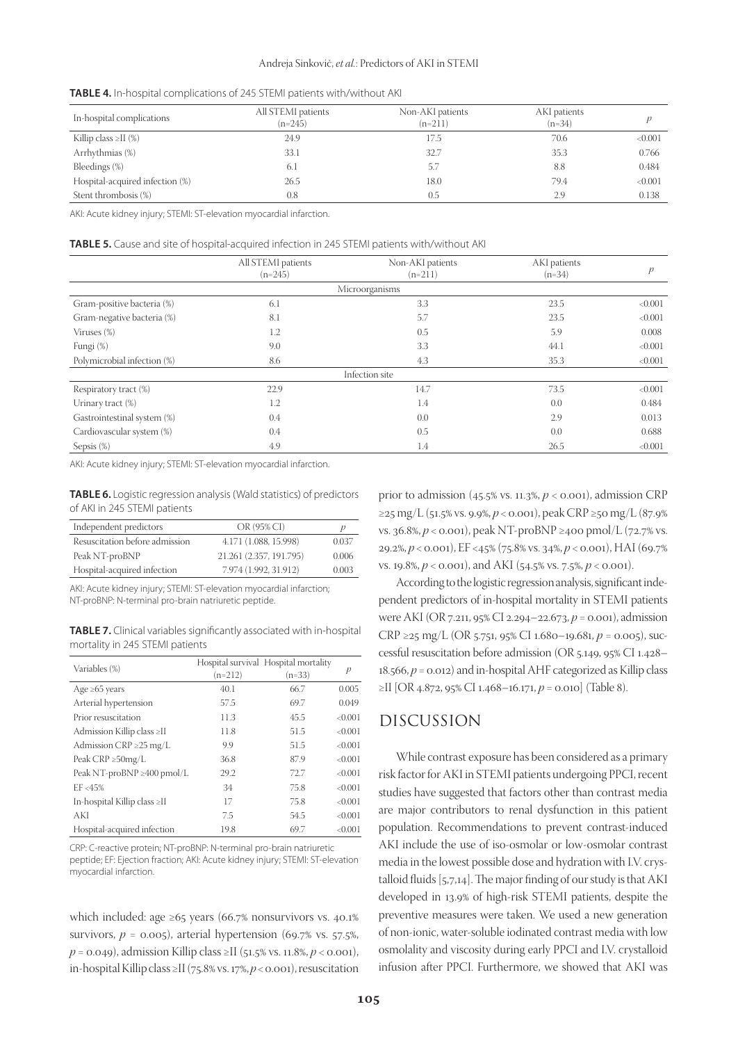|  |  | <b>TABLE 4.</b> In-hospital complications of 245 STEMI patients with/without AKI |  |
|--|--|----------------------------------------------------------------------------------|--|
|--|--|----------------------------------------------------------------------------------|--|

| In-hospital complications       | All STEMI patients<br>$(n=245)$ | Non-AKI patients<br>$(n=211)$ | AKI patients<br>$(n=34)$ |         |
|---------------------------------|---------------------------------|-------------------------------|--------------------------|---------|
| Killip class $\geq$ II (%)      | 24.9                            | 17.5                          | 70.6                     | <0.001  |
| Arrhythmias (%)                 | 33.1                            | 32.7                          | 35.3                     | 0.766   |
| Bleedings (%)                   | 6.1                             | -5.7                          | 8.8                      | 0.484   |
| Hospital-acquired infection (%) | 26.5                            | 18.0                          | 79.4                     | < 0.001 |
| Stent thrombosis (%)            | 0.8                             | 0.5                           | 2.9                      | 0.138   |

AKI: Acute kidney injury; STEMI: ST-elevation myocardial infarction.

|                             | All STEMI patients<br>$(n=245)$ | Non-AKI patients<br>$(n=211)$ | AKI patients<br>$(n=34)$ | p       |
|-----------------------------|---------------------------------|-------------------------------|--------------------------|---------|
|                             |                                 | Microorganisms                |                          |         |
| Gram-positive bacteria (%)  | 6.1                             | 3.3                           | 23.5                     | < 0.001 |
| Gram-negative bacteria (%)  | 8.1                             | 5.7                           | 23.5                     | < 0.001 |
| Viruses $(\%)$              | 1.2                             | 0.5                           | 5.9                      | 0.008   |
| Fungi (%)                   | 9.0                             | 3.3                           | 44.1                     | < 0.001 |
| Polymicrobial infection (%) | 8.6                             | 4.3                           | 35.3                     | < 0.001 |
| Infection site              |                                 |                               |                          |         |
| Respiratory tract (%)       | 22.9                            | 14.7                          | 73.5                     | < 0.001 |
| Urinary tract $(\%)$        | 1.2                             | 1.4                           | 0.0                      | 0.484   |
| Gastrointestinal system (%) | 0.4                             | 0.0                           | 2.9                      | 0.013   |
| Cardiovascular system (%)   | 0.4                             | 0.5                           | 0.0                      | 0.688   |
| Sepsis (%)                  | 4.9                             | 1.4                           | 26.5                     | < 0.001 |

AKI: Acute kidney injury; STEMI: ST-elevation myocardial infarction.

**TABLE 6.** Logistic regression analysis(Wald statistics) of predictors of AKI in 245 STEMI patients

| Independent predictors         | OR (95% CI)             |       |
|--------------------------------|-------------------------|-------|
| Resuscitation before admission | 4.171 (1.088, 15.998)   | 0.037 |
| Peak NT-proBNP                 | 21.261 (2.357, 191.795) | 0.006 |
| Hospital-acquired infection    | 7.974 (1.992, 31.912)   | 0.003 |

AKI: Acute kidney injury; STEMI: ST-elevation myocardial infarction; NT-proBNP: N-terminal pro-brain natriuretic peptide.

**TABLE 7.** Clinical variables significantly associated with in-hospital mortality in 245 STEMI patients

| Variables (%)                      | $(n=212)$ | Hospital survival Hospital mortality<br>(n=33) | p       |
|------------------------------------|-----------|------------------------------------------------|---------|
| Age $\geq 65$ years                | 40.1      | 66.7                                           | 0.005   |
| Arterial hypertension              | 57.5      | 69.7                                           | 0.049   |
| Prior resuscitation                | 11.3      | 45.5                                           | < 0.001 |
| Admission Killip class ≥II         | 11.8      | 51.5                                           | < 0.001 |
| Admission $CRP \geq 25$ mg/L       | 9.9       | 51.5                                           | < 0.001 |
| Peak $CRP \geq 50$ mg/L            | 36.8      | 87.9                                           | < 0.001 |
| Peak NT-proBNP $\geq$ 400 pmol/L   | 29.2      | 72.7                                           | < 0.001 |
| $EF < 45\%$                        | 34        | 75.8                                           | < 0.001 |
| In-hospital Killip class $\geq$ II | 17        | 75.8                                           | < 0.001 |
| AKI                                | 7.5       | 54.5                                           | < 0.001 |
| Hospital-acquired infection        | 19.8      | 69.7                                           | < 0.001 |

CRP: C-reactive protein; NT-proBNP: N-terminal pro-brain natriuretic peptide; EF: Ejection fraction; AKI: Acute kidney injury; STEMI: ST-elevation myocardial infarction.

which included: age  $\geq 65$  years (66.7% nonsurvivors vs. 40.1%) survivors,  $p = 0.005$ ), arterial hypertension (69.7% vs. 57.5%, *p* = 0.049), admission Killip class ≥II (51.5% vs. 11.8%, *p* < 0.001), in-hospital Killip class ≥II (75.8% vs. 17%, *p* < 0.001), resuscitation prior to admission (45.5% vs. 11.3%, *p* < 0.001), admission CRP ≥25 mg/L (51.5% vs. 9.9%, *p* < 0.001), peak CRP ≥50 mg/L (87.9% vs. 36.8%, *p* < 0.001), peak NT-proBNP ≥400 pmol/L (72.7% vs. 29.2%, *p* < 0.001), EF <45% (75.8% vs. 34%, *p* < 0.001), HAI (69.7% vs. 19.8%, *p* < 0.001), and AKI (54.5% vs. 7.5%, *p* < 0.001).

According to the logistic regression analysis, significant independent predictors of in-hospital mortality in STEMI patients were AKI (OR 7.211, 95% CI 2.294–22.673, *p* = 0.001), admission CRP ≥25 mg/L (OR 5.751, 95% CI 1.680–19.681, *p* = 0.005), successful resuscitation before admission (OR 5.149, 95% CI 1.428– 18.566, *p* = 0.012) and in-hospital AHF categorized as Killip class ≥II [OR 4.872, 95% CI 1.468–16.171, *p* = 0.010] (Table 8).

# DISCUSSION

While contrast exposure has been considered as a primary risk factor for AKI in STEMI patients undergoing PPCI, recent studies have suggested that factors other than contrast media are major contributors to renal dysfunction in this patient population. Recommendations to prevent contrast-induced AKI include the use of iso-osmolar or low-osmolar contrast media in the lowest possible dose and hydration with I.V. crystalloid fluids [5,7,14]. The major finding of our study is that AKI developed in 13.9% of high-risk STEMI patients, despite the preventive measures were taken. We used a new generation of non-ionic, water-soluble iodinated contrast media with low osmolality and viscosity during early PPCI and I.V. crystalloid infusion after PPCI. Furthermore, we showed that AKI was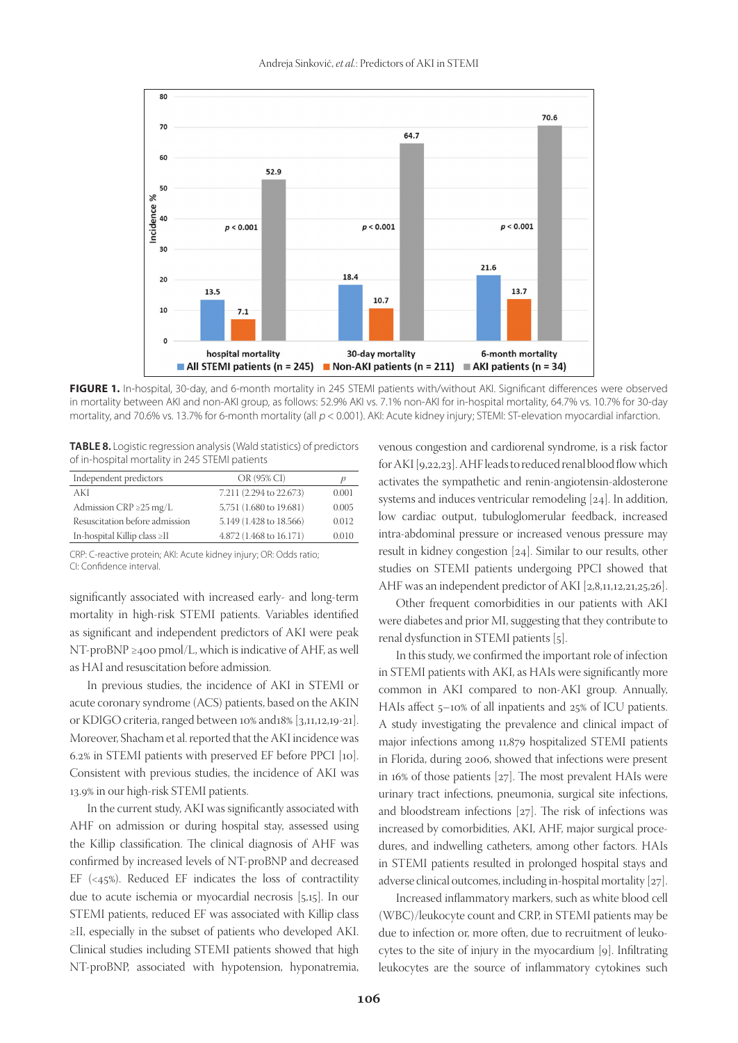

**FIGURE 1.** In-hospital, 30-day, and 6-month mortality in 245 STEMI patients with/without AKI. Significant differences were observed in mortality between AKI and non-AKI group, as follows: 52.9% AKI vs. 7.1% non-AKI for in-hospital mortality, 64.7% vs. 10.7% for 30-day mortality, and 70.6% vs. 13.7% for 6-month mortality (all  $p < 0.001$ ). AKI: Acute kidney injury; STEMI: ST-elevation myocardial infarction.

**TABLE 8.** Logistic regression analysis(Wald statistics) of predictors of in-hospital mortality in 245 STEMI patients

| Independent predictors             | OR (95% CI)             |       |
|------------------------------------|-------------------------|-------|
| AKI                                | 7.211 (2.294 to 22.673) | 0.001 |
| Admission $CRP \geq 25$ mg/L       | 5,751 (1.680 to 19.681) | 0.005 |
| Resuscitation before admission     | 5.149 (1.428 to 18.566) | 0.012 |
| In-hospital Killip class $\geq$ II | 4.872 (1.468 to 16.171) | 0.010 |

CRP: C-reactive protein; AKI: Acute kidney injury; OR: Odds ratio; CI: Confidence interval.

significantly associated with increased early- and long-term mortality in high-risk STEMI patients. Variables identified as significant and independent predictors of AKI were peak NT-proBNP ≥400 pmol/L, which is indicative of AHF, as well as HAI and resuscitation before admission.

In previous studies, the incidence of AKI in STEMI or acute coronary syndrome (ACS) patients, based on the AKIN or KDIGO criteria, ranged between 10% and18% [3,11,12,19-21]. Moreover, Shacham et al. reported that the AKI incidence was 6.2% in STEMI patients with preserved EF before PPCI [10]. Consistent with previous studies, the incidence of AKI was 13.9% in our high-risk STEMI patients.

In the current study, AKI was significantly associated with AHF on admission or during hospital stay, assessed using the Killip classification. The clinical diagnosis of AHF was confirmed by increased levels of NT-proBNP and decreased EF  $( $45\%$ ). Reduced EF indicates the loss of contractility$ due to acute ischemia or myocardial necrosis [5,15]. In our STEMI patients, reduced EF was associated with Killip class ≥II, especially in the subset of patients who developed AKI. Clinical studies including STEMI patients showed that high NT-proBNP, associated with hypotension, hyponatremia,

venous congestion and cardiorenal syndrome, is a risk factor for AKI [9,22,23]. AHF leads to reduced renal blood flow which activates the sympathetic and renin-angiotensin-aldosterone systems and induces ventricular remodeling [24]. In addition, low cardiac output, tubuloglomerular feedback, increased intra-abdominal pressure or increased venous pressure may result in kidney congestion [24]. Similar to our results, other studies on STEMI patients undergoing PPCI showed that AHF was an independent predictor of AKI [2,8,11,12,21,25,26].

Other frequent comorbidities in our patients with AKI were diabetes and prior MI, suggesting that they contribute to renal dysfunction in STEMI patients [5].

In this study, we confirmed the important role of infection in STEMI patients with AKI, as HAIs were significantly more common in AKI compared to non-AKI group. Annually, HAIs affect 5–10% of all inpatients and 25% of ICU patients. A study investigating the prevalence and clinical impact of major infections among 11,879 hospitalized STEMI patients in Florida, during 2006, showed that infections were present in 16% of those patients [27]. The most prevalent HAIs were urinary tract infections, pneumonia, surgical site infections, and bloodstream infections [27]. The risk of infections was increased by comorbidities, AKI, AHF, major surgical procedures, and indwelling catheters, among other factors. HAIs in STEMI patients resulted in prolonged hospital stays and adverse clinical outcomes, including in-hospital mortality [27].

Increased inflammatory markers, such as white blood cell (WBC)/leukocyte count and CRP, in STEMI patients may be due to infection or, more often, due to recruitment of leukocytes to the site of injury in the myocardium [9]. Infiltrating leukocytes are the source of inflammatory cytokines such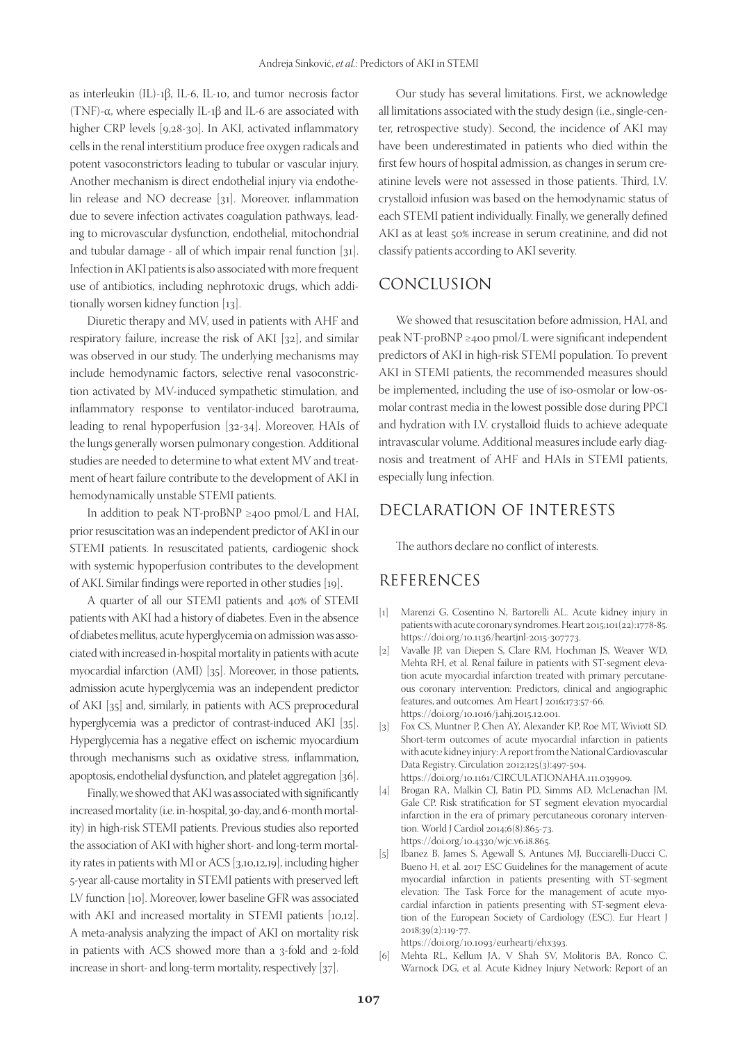as interleukin (IL)-1β, IL-6, IL-10, and tumor necrosis factor (TNF)-α, where especially IL-1β and IL-6 are associated with higher CRP levels [9,28-30]. In AKI, activated inflammatory cells in the renal interstitium produce free oxygen radicals and potent vasoconstrictors leading to tubular or vascular injury. Another mechanism is direct endothelial injury via endothelin release and NO decrease [31]. Moreover, inflammation due to severe infection activates coagulation pathways, leading to microvascular dysfunction, endothelial, mitochondrial and tubular damage - all of which impair renal function [31]. Infection in AKI patients is also associated with more frequent use of antibiotics, including nephrotoxic drugs, which additionally worsen kidney function [13].

Diuretic therapy and MV, used in patients with AHF and respiratory failure, increase the risk of AKI [32], and similar was observed in our study. The underlying mechanisms may include hemodynamic factors, selective renal vasoconstriction activated by MV-induced sympathetic stimulation, and inflammatory response to ventilator-induced barotrauma, leading to renal hypoperfusion [32-34]. Moreover, HAIs of the lungs generally worsen pulmonary congestion. Additional studies are needed to determine to what extent MV and treatment of heart failure contribute to the development of AKI in hemodynamically unstable STEMI patients.

In addition to peak NT-proBNP ≥400 pmol/L and HAI, prior resuscitation was an independent predictor of AKI in our STEMI patients. In resuscitated patients, cardiogenic shock with systemic hypoperfusion contributes to the development of AKI. Similar findings were reported in other studies [19].

A quarter of all our STEMI patients and 40% of STEMI patients with AKI had a history of diabetes. Even in the absence of diabetes mellitus, acute hyperglycemia on admission was associated with increased in-hospital mortality in patients with acute myocardial infarction (AMI) [35]. Moreover, in those patients, admission acute hyperglycemia was an independent predictor of AKI [35] and, similarly, in patients with ACS preprocedural hyperglycemia was a predictor of contrast-induced AKI [35]. Hyperglycemia has a negative effect on ischemic myocardium through mechanisms such as oxidative stress, inflammation, apoptosis, endothelial dysfunction, and platelet aggregation [36].

Finally, we showed that AKI was associated with significantly increased mortality (i.e. in-hospital, 30-day, and 6-month mortality) in high-risk STEMI patients. Previous studies also reported the association of AKI with higher short- and long-term mortality rates in patients with MI or ACS [3,10,12,19], including higher 5-year all-cause mortality in STEMI patients with preserved left LV function [10]. Moreover, lower baseline GFR was associated with AKI and increased mortality in STEMI patients [10,12]. A meta-analysis analyzing the impact of AKI on mortality risk in patients with ACS showed more than a 3-fold and 2-fold increase in short- and long-term mortality, respectively [37].

Our study has several limitations. First, we acknowledge all limitations associated with the study design (i.e., single-center, retrospective study). Second, the incidence of AKI may have been underestimated in patients who died within the first few hours of hospital admission, as changes in serum creatinine levels were not assessed in those patients. Third, I.V. crystalloid infusion was based on the hemodynamic status of each STEMI patient individually. Finally, we generally defined AKI as at least 50% increase in serum creatinine, and did not classify patients according to AKI severity.

## CONCLUSION

We showed that resuscitation before admission, HAI, and peak NT-proBNP ≥400 pmol/L were significant independent predictors of AKI in high-risk STEMI population. To prevent AKI in STEMI patients, the recommended measures should be implemented, including the use of iso-osmolar or low-osmolar contrast media in the lowest possible dose during PPCI and hydration with I.V. crystalloid fluids to achieve adequate intravascular volume. Additional measures include early diagnosis and treatment of AHF and HAIs in STEMI patients, especially lung infection.

# DECLARATION OF INTERESTS

The authors declare no conflict of interests.

### REFERENCES

- [1] Marenzi G, Cosentino N, Bartorelli AL. Acute kidney injury in patients with acute coronary syndromes. Heart 2015;101(22):1778-85. https://doi.org/10.1136/heartjnl-2015-307773.
- [2] Vavalle JP, van Diepen S, Clare RM, Hochman JS, Weaver WD, Mehta RH, et al. Renal failure in patients with ST-segment elevation acute myocardial infarction treated with primary percutaneous coronary intervention: Predictors, clinical and angiographic features, and outcomes. Am Heart J 2016;173:57-66. https://doi.org/10.1016/j.ahj.2015.12.001.
- [3] Fox CS, Muntner P, Chen AY, Alexander KP, Roe MT, Wiviott SD. Short-term outcomes of acute myocardial infarction in patients with acute kidney injury: A report from the National Cardiovascular Data Registry. Circulation 2012;125(3):497-504. https://doi.org/10.1161/CIRCULATIONAHA.111.039909.
- [4] Brogan RA, Malkin CJ, Batin PD, Simms AD, McLenachan JM, Gale CP. Risk stratification for ST segment elevation myocardial infarction in the era of primary percutaneous coronary intervention. World J Cardiol 2014;6(8):865-73.
- https://doi.org/10.4330/wjc.v6.i8.865. [5] Ibanez B, James S, Agewall S, Antunes MJ, Bucciarelli-Ducci C, Bueno H, et al. 2017 ESC Guidelines for the management of acute myocardial infarction in patients presenting with ST-segment elevation: The Task Force for the management of acute myocardial infarction in patients presenting with ST-segment elevation of the European Society of Cardiology (ESC). Eur Heart J 2018;39(2):119-77.

https://doi.org/10.1093/eurheartj/ehx393.

[6] Mehta RL, Kellum JA, V Shah SV, Molitoris BA, Ronco C, Warnock DG, et al. Acute Kidney Injury Network: Report of an